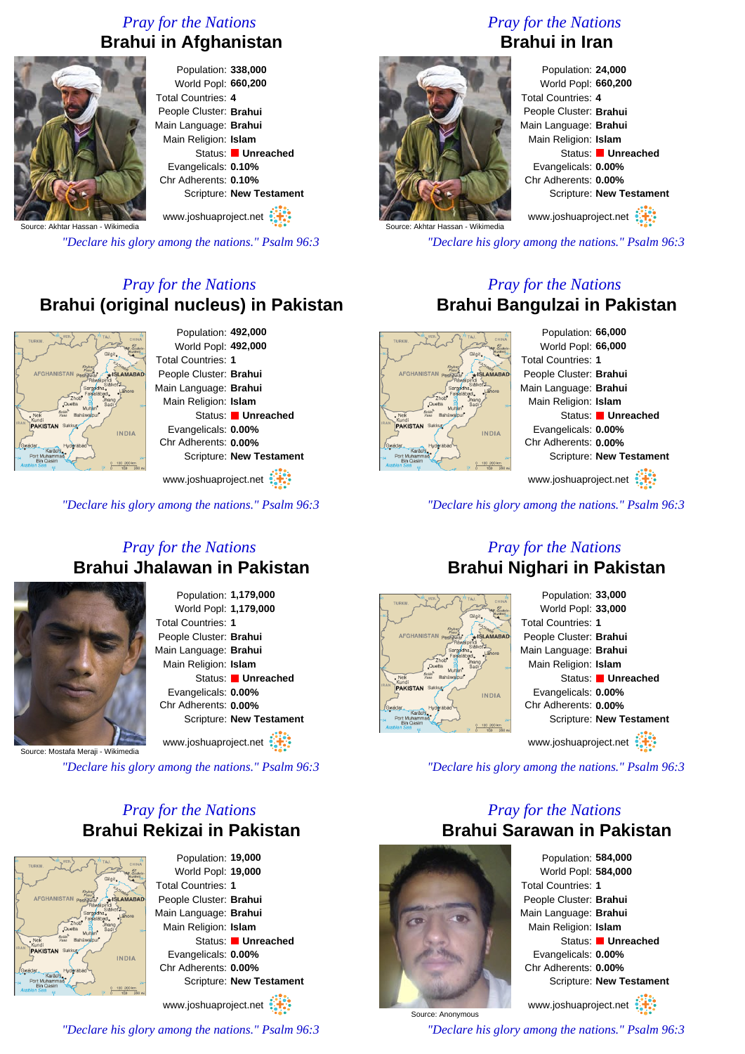### *Pray for the Nations* **Brahui in Afghanistan**



Population: **338,000** World Popl: **660,200** Total Countries: **4** People Cluster: **Brahui** Main Language: **Brahui** Main Religion: **Islam** Status: **Unreached** Evangelicals: **0.10%** Chr Adherents: **0.10%** Scripture: **New Testament**

www.joshuaproject.net

Source: Akhtar Hassan - Wikimedia

*"Declare his glory among the nations." Psalm 96:3*

### *Pray for the Nations* **Brahui (original nucleus) in Pakistan**



Population: **492,000** World Popl: **492,000** Total Countries: **1** People Cluster: **Brahui** Main Language: **Brahui** Main Religion: **Islam** Status: **Unreached** Evangelicals: **0.00%** Chr Adherents: **0.00%** Scripture: **New Testament**

www.joshuaproject.net

*"Declare his glory among the nations." Psalm 96:3*

#### *Pray for the Nations* **Brahui Jhalawan in Pakistan**



Population: **1,179,000** World Popl: **1,179,000** Total Countries: **1** People Cluster: **Brahui** Main Language: **Brahui** Main Religion: **Islam** Status: **Unreached** Evangelicals: **0.00%** Chr Adherents: **0.00%** Scripture: **New Testament**

www.joshuaproject.net

Source: Mostafa Meraji - Wikimedia

*"Declare his glory among the nations." Psalm 96:3*

### *Pray for the Nations* **Brahui Rekizai in Pakistan**

INDIA

Population: **19,000** World Popl: **19,000** Total Countries: **1** People Cluster: **Brahui** Main Language: **Brahui** Main Religion: **Islam** Status: **Unreached** Evangelicals: **0.00%** Chr Adherents: **0.00%** Scripture: **New Testament**

www.joshuaproject.net

*"Declare his glory among the nations." Psalm 96:3*

# *Pray for the Nations* **Brahui in Iran**



Population: **24,000** World Popl: **660,200** Total Countries: **4** People Cluster: **Brahui** Main Language: **Brahui** Main Religion: **Islam** Status: **Unreached** Evangelicals: **0.00%** Chr Adherents: **0.00%** Scripture: **New Testament** www.joshuaproject.net

*"Declare his glory among the nations." Psalm 96:3*

#### *Pray for the Nations* **Brahui Bangulzai in Pakistan**



Population: **66,000** World Popl: **66,000** Total Countries: **1** People Cluster: **Brahui** Main Language: **Brahui** Main Religion: **Islam** Status: **Unreached** Evangelicals: **0.00%** Chr Adherents: **0.00%** Scripture: **New Testament** www.joshuaproject.net

*"Declare his glory among the nations." Psalm 96:3*

#### *Pray for the Nations* **Brahui Nighari in Pakistan**



Population: **33,000** World Popl: **33,000** Total Countries: **1** People Cluster: **Brahui** Main Language: **Brahui** Main Religion: **Islam** Status: **Unreached** Evangelicals: **0.00%** Chr Adherents: **0.00%** Scripture: **New Testament** www.joshuaproject.net

*"Declare his glory among the nations." Psalm 96:3*

#### *Pray for the Nations* **Brahui Sarawan in Pakistan**



Source: Anonymous

Population: **584,000** World Popl: **584,000** Total Countries: **1** People Cluster: **Brahui** Main Language: **Brahui** Main Religion: **Islam** Status: **Unreached** Evangelicals: **0.00%** Chr Adherents: **0.00%** Scripture: **New Testament** www.joshuaproject.net

*"Declare his glory among the nations." Psalm 96:3*